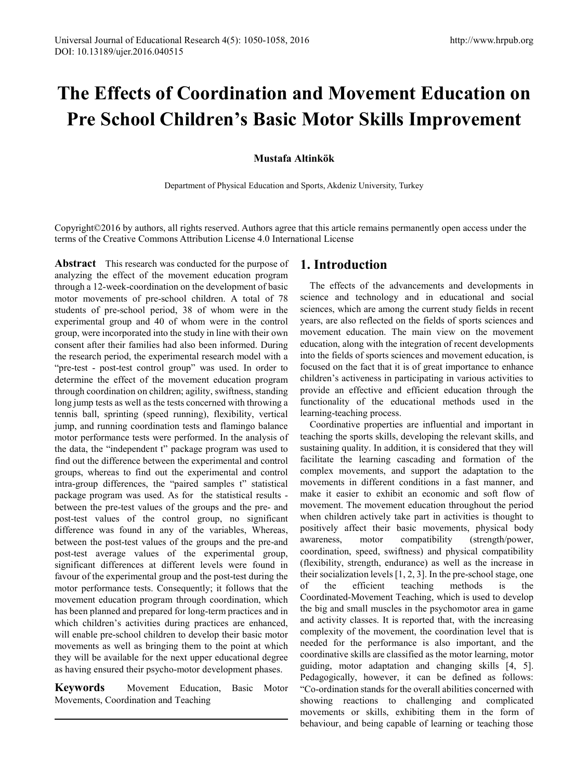# **The Effects of Coordination and Movement Education on Pre School Children's Basic Motor Skills Improvement**

### **Mustafa Altinkök**

Department of Physical Education and Sports, Akdeniz University, Turkey

Copyright©2016 by authors, all rights reserved. Authors agree that this article remains permanently open access under the terms of the Creative Commons Attribution License 4.0 International License

**Abstract** This research was conducted for the purpose of analyzing the effect of the movement education program through a 12-week-coordination on the development of basic motor movements of pre-school children. A total of 78 students of pre-school period, 38 of whom were in the experimental group and 40 of whom were in the control group, were incorporated into the study in line with their own consent after their families had also been informed. During the research period, the experimental research model with a "pre-test - post-test control group" was used. In order to determine the effect of the movement education program through coordination on children; agility, swiftness, standing long jump tests as well as the tests concerned with throwing a tennis ball, sprinting (speed running), flexibility, vertical jump, and running coordination tests and flamingo balance motor performance tests were performed. In the analysis of the data, the "independent t" package program was used to find out the difference between the experimental and control groups, whereas to find out the experimental and control intra-group differences, the "paired samples t" statistical package program was used. As for the statistical results between the pre-test values of the groups and the pre- and post-test values of the control group, no significant difference was found in any of the variables, Whereas, between the post-test values of the groups and the pre-and post-test average values of the experimental group, significant differences at different levels were found in favour of the experimental group and the post-test during the motor performance tests. Consequently; it follows that the movement education program through coordination, which has been planned and prepared for long-term practices and in which children's activities during practices are enhanced, will enable pre-school children to develop their basic motor movements as well as bringing them to the point at which they will be available for the next upper educational degree as having ensured their psycho-motor development phases.

**Keywords** Movement Education, Basic Motor Movements, Coordination and Teaching

# **1. Introduction**

The effects of the advancements and developments in science and technology and in educational and social sciences, which are among the current study fields in recent years, are also reflected on the fields of sports sciences and movement education. The main view on the movement education, along with the integration of recent developments into the fields of sports sciences and movement education, is focused on the fact that it is of great importance to enhance children's activeness in participating in various activities to provide an effective and efficient education through the functionality of the educational methods used in the learning-teaching process.

Coordinative properties are influential and important in teaching the sports skills, developing the relevant skills, and sustaining quality. In addition, it is considered that they will facilitate the learning cascading and formation of the complex movements, and support the adaptation to the movements in different conditions in a fast manner, and make it easier to exhibit an economic and soft flow of movement. The movement education throughout the period when children actively take part in activities is thought to positively affect their basic movements, physical body awareness, motor compatibility (strength/power, coordination, speed, swiftness) and physical compatibility (flexibility, strength, endurance) as well as the increase in their socialization levels [1, 2, 3]. In the pre-school stage, one of the efficient teaching methods is the Coordinated-Movement Teaching, which is used to develop the big and small muscles in the psychomotor area in game and activity classes. It is reported that, with the increasing complexity of the movement, the coordination level that is needed for the performance is also important, and the coordinative skills are classified as the motor learning, motor guiding, motor adaptation and changing skills [4, 5]. Pedagogically, however, it can be defined as follows: "Co-ordination stands for the overall abilities concerned with showing reactions to challenging and complicated movements or skills, exhibiting them in the form of behaviour, and being capable of learning or teaching those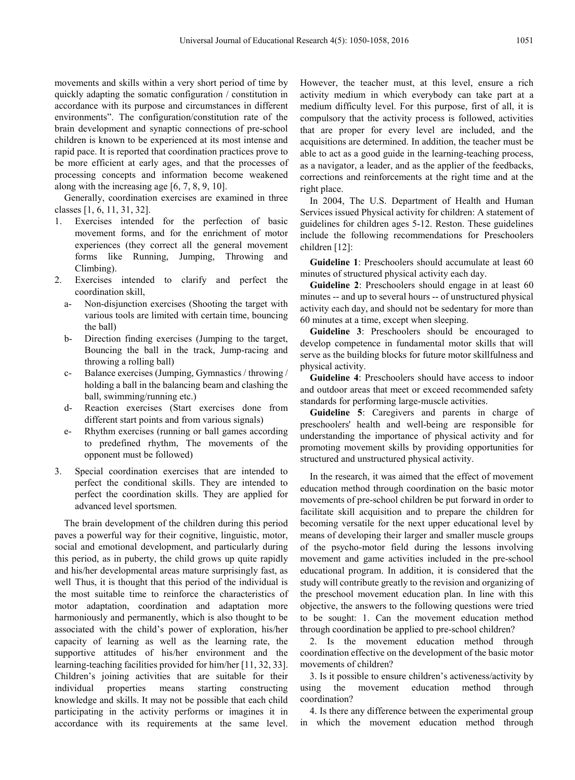movements and skills within a very short period of time by quickly adapting the somatic configuration / constitution in accordance with its purpose and circumstances in different environments". The configuration/constitution rate of the brain development and synaptic connections of pre-school children is known to be experienced at its most intense and rapid pace. It is reported that coordination practices prove to be more efficient at early ages, and that the processes of processing concepts and information become weakened along with the increasing age [6, 7, 8, 9, 10].

Generally, coordination exercises are examined in three classes [1, 6, 11, 31, 32].

- 1. Exercises intended for the perfection of basic movement forms, and for the enrichment of motor experiences (they correct all the general movement forms like Running, Jumping, Throwing and Climbing).
- 2. Exercises intended to clarify and perfect the coordination skill,
	- a- Non-disjunction exercises (Shooting the target with various tools are limited with certain time, bouncing the ball)
	- b- Direction finding exercises (Jumping to the target, Bouncing the ball in the track, Jump-racing and throwing a rolling ball)
	- c- Balance exercises (Jumping, Gymnastics / throwing / holding a ball in the balancing beam and clashing the ball, swimming/running etc.)
	- d- Reaction exercises (Start exercises done from different start points and from various signals)
	- e- Rhythm exercises (running or ball games according to predefined rhythm, The movements of the opponent must be followed)
- 3. Special coordination exercises that are intended to perfect the conditional skills. They are intended to perfect the coordination skills. They are applied for advanced level sportsmen.

The brain development of the children during this period paves a powerful way for their cognitive, linguistic, motor, social and emotional development, and particularly during this period, as in puberty, the child grows up quite rapidly and his/her developmental areas mature surprisingly fast, as well Thus, it is thought that this period of the individual is the most suitable time to reinforce the characteristics of motor adaptation, coordination and adaptation more harmoniously and permanently, which is also thought to be associated with the child's power of exploration, his/her capacity of learning as well as the learning rate, the supportive attitudes of his/her environment and the learning-teaching facilities provided for him/her [11, 32, 33]. Children's joining activities that are suitable for their individual properties means starting constructing knowledge and skills. It may not be possible that each child participating in the activity performs or imagines it in accordance with its requirements at the same level.

However, the teacher must, at this level, ensure a rich activity medium in which everybody can take part at a medium difficulty level. For this purpose, first of all, it is compulsory that the activity process is followed, activities that are proper for every level are included, and the acquisitions are determined. In addition, the teacher must be able to act as a good guide in the learning-teaching process, as a navigator, a leader, and as the applier of the feedbacks, corrections and reinforcements at the right time and at the right place.

In 2004, The U.S. Department of Health and Human Services issued Physical activity for children: A statement of guidelines for children ages 5-12. Reston. These guidelines include the following recommendations for Preschoolers children [12]:

**Guideline 1**: Preschoolers should accumulate at least 60 minutes of structured physical activity each day.

**Guideline 2**: Preschoolers should engage in at least 60 minutes -- and up to several hours -- of unstructured physical activity each day, and should not be sedentary for more than 60 minutes at a time, except when sleeping.

**Guideline 3**: Preschoolers should be encouraged to develop competence in fundamental motor skills that will serve as the building blocks for future motor skillfulness and physical activity.

**Guideline 4**: Preschoolers should have access to indoor and outdoor areas that meet or exceed recommended safety standards for performing large-muscle activities.

**Guideline 5**: Caregivers and parents in charge of preschoolers' health and well-being are responsible for understanding the importance of physical activity and for promoting movement skills by providing opportunities for structured and unstructured physical activity.

In the research, it was aimed that the effect of movement education method through coordination on the basic motor movements of pre-school children be put forward in order to facilitate skill acquisition and to prepare the children for becoming versatile for the next upper educational level by means of developing their larger and smaller muscle groups of the psycho-motor field during the lessons involving movement and game activities included in the pre-school educational program. In addition, it is considered that the study will contribute greatly to the revision and organizing of the preschool movement education plan. In line with this objective, the answers to the following questions were tried to be sought: 1. Can the movement education method through coordination be applied to pre-school children?

2. Is the movement education method through coordination effective on the development of the basic motor movements of children?

3. Is it possible to ensure children's activeness/activity by using the movement education method through coordination?

4. Is there any difference between the experimental group in which the movement education method through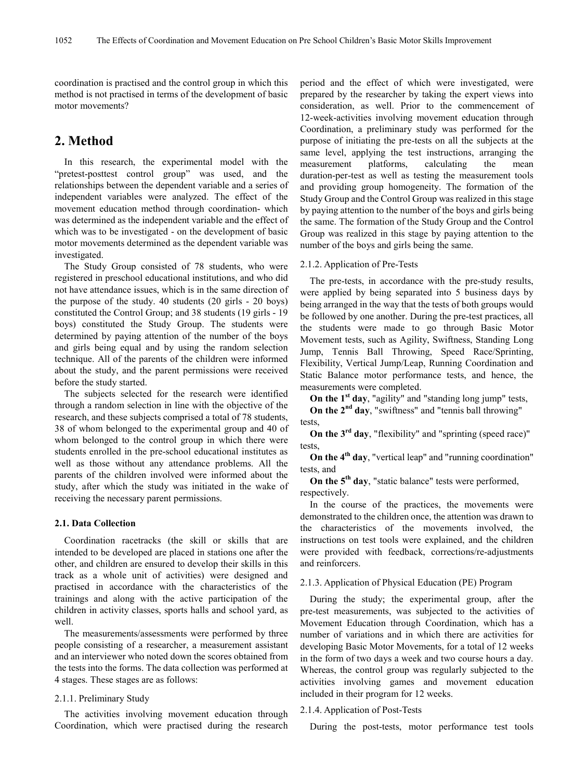coordination is practised and the control group in which this method is not practised in terms of the development of basic motor movements?

## **2. Method**

In this research, the experimental model with the "pretest-posttest control group" was used, and the relationships between the dependent variable and a series of independent variables were analyzed. The effect of the movement education method through coordination- which was determined as the independent variable and the effect of which was to be investigated - on the development of basic motor movements determined as the dependent variable was investigated.

The Study Group consisted of 78 students, who were registered in preschool educational institutions, and who did not have attendance issues, which is in the same direction of the purpose of the study. 40 students (20 girls - 20 boys) constituted the Control Group; and 38 students (19 girls - 19 boys) constituted the Study Group. The students were determined by paying attention of the number of the boys and girls being equal and by using the random selection technique. All of the parents of the children were informed about the study, and the parent permissions were received before the study started.

The subjects selected for the research were identified through a random selection in line with the objective of the research, and these subjects comprised a total of 78 students, 38 of whom belonged to the experimental group and 40 of whom belonged to the control group in which there were students enrolled in the pre-school educational institutes as well as those without any attendance problems. All the parents of the children involved were informed about the study, after which the study was initiated in the wake of receiving the necessary parent permissions.

#### **2.1. Data Collection**

Coordination racetracks (the skill or skills that are intended to be developed are placed in stations one after the other, and children are ensured to develop their skills in this track as a whole unit of activities) were designed and practised in accordance with the characteristics of the trainings and along with the active participation of the children in activity classes, sports halls and school yard, as well.

The measurements/assessments were performed by three people consisting of a researcher, a measurement assistant and an interviewer who noted down the scores obtained from the tests into the forms. The data collection was performed at 4 stages. These stages are as follows:

#### 2.1.1. Preliminary Study

The activities involving movement education through Coordination, which were practised during the research

period and the effect of which were investigated, were prepared by the researcher by taking the expert views into consideration, as well. Prior to the commencement of 12-week-activities involving movement education through Coordination, a preliminary study was performed for the purpose of initiating the pre-tests on all the subjects at the same level, applying the test instructions, arranging the measurement platforms, calculating the mean duration-per-test as well as testing the measurement tools and providing group homogeneity. The formation of the Study Group and the Control Group was realized in this stage by paying attention to the number of the boys and girls being the same. The formation of the Study Group and the Control Group was realized in this stage by paying attention to the number of the boys and girls being the same.

#### 2.1.2. Application of Pre-Tests

The pre-tests, in accordance with the pre-study results, were applied by being separated into 5 business days by being arranged in the way that the tests of both groups would be followed by one another. During the pre-test practices, all the students were made to go through Basic Motor Movement tests, such as Agility, Swiftness, Standing Long Jump, Tennis Ball Throwing, Speed Race/Sprinting, Flexibility, Vertical Jump/Leap, Running Coordination and Static Balance motor performance tests, and hence, the measurements were completed.

**On the 1st day**, "agility" and "standing long jump" tests,

**On the 2nd day**, "swiftness" and "tennis ball throwing" tests,

**On the 3rd day**, "flexibility" and "sprinting (speed race)" tests,

**On the 4th day**, "vertical leap" and "running coordination" tests, and

**On the 5th day**, "static balance" tests were performed, respectively.

In the course of the practices, the movements were demonstrated to the children once, the attention was drawn to the characteristics of the movements involved, the instructions on test tools were explained, and the children were provided with feedback, corrections/re-adjustments and reinforcers.

#### 2.1.3. Application of Physical Education (PE) Program

During the study; the experimental group, after the pre-test measurements, was subjected to the activities of Movement Education through Coordination, which has a number of variations and in which there are activities for developing Basic Motor Movements, for a total of 12 weeks in the form of two days a week and two course hours a day. Whereas, the control group was regularly subjected to the activities involving games and movement education included in their program for 12 weeks.

#### 2.1.4. Application of Post-Tests

During the post-tests, motor performance test tools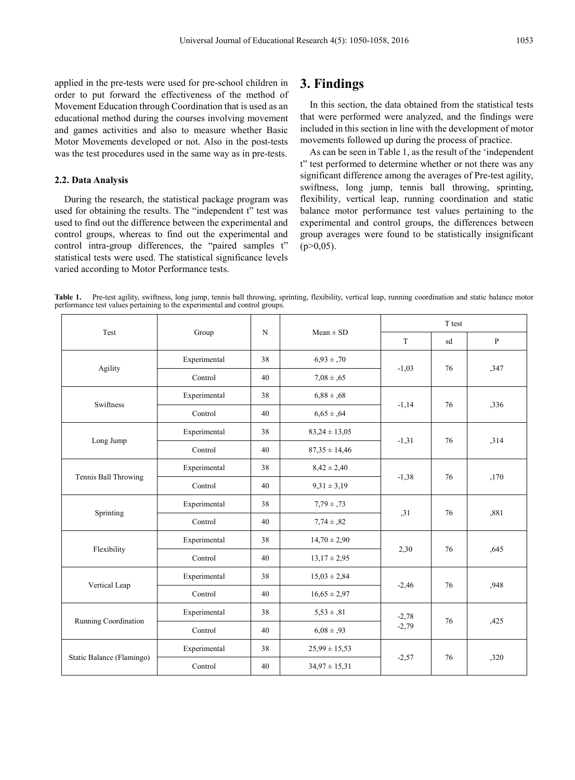applied in the pre-tests were used for pre-school children in order to put forward the effectiveness of the method of Movement Education through Coordination that is used as an educational method during the courses involving movement and games activities and also to measure whether Basic Motor Movements developed or not. Also in the post-tests was the test procedures used in the same way as in pre-tests.

#### **2.2. Data Analysis**

During the research, the statistical package program was used for obtaining the results. The "independent t" test was used to find out the difference between the experimental and control groups, whereas to find out the experimental and control intra-group differences, the "paired samples t" statistical tests were used. The statistical significance levels varied according to Motor Performance tests.

# **3. Findings**

In this section, the data obtained from the statistical tests that were performed were analyzed, and the findings were included in this section in line with the development of motor movements followed up during the process of practice.

As can be seen in Table 1, as the result of the 'independent t" test performed to determine whether or not there was any significant difference among the averages of Pre-test agility, swiftness, long jump, tennis ball throwing, sprinting, flexibility, vertical leap, running coordination and static balance motor performance test values pertaining to the experimental and control groups, the differences between group averages were found to be statistically insignificant  $(p>0.05)$ .

Table 1. Pre-test agility, swiftness, long jump, tennis ball throwing, sprinting, flexibility, vertical leap, running coordination and static balance motor performance test values pertaining to the experimental and control

| Test                      |              | $\mathbf N$ | $Mean \pm SD$     | T test  |    |              |  |
|---------------------------|--------------|-------------|-------------------|---------|----|--------------|--|
|                           | Group        |             |                   | T       | sd | $\, {\bf P}$ |  |
|                           | Experimental | 38          | $6,93 \pm 0.70$   |         | 76 |              |  |
| Agility                   | Control      | 40          | $7,08 \pm 0.65$   | $-1,03$ |    | ,347         |  |
| Swiftness                 | Experimental | 38          | $6,88 \pm 0.68$   |         | 76 |              |  |
|                           | Control      | 40          | $6,65 \pm 0.64$   | $-1,14$ |    | ,336         |  |
|                           | Experimental | 38          | $83,24 \pm 13,05$ |         | 76 | ,314         |  |
| Long Jump                 | Control      | 40          | $87,35 \pm 14,46$ | $-1,31$ |    |              |  |
| Tennis Ball Throwing      | Experimental | 38          | $8,42 \pm 2,40$   |         | 76 |              |  |
|                           | Control      | 40          | $9,31 \pm 3,19$   | $-1,38$ |    | ,170         |  |
| Sprinting                 | Experimental | 38          | $7,79 \pm 0.73$   |         | 76 | ,881         |  |
|                           | Control      | 40          | $7,74 \pm 0.82$   | , 31    |    |              |  |
| Flexibility               | Experimental | 38          | $14,70 \pm 2,90$  |         | 76 | ,645         |  |
|                           | Control      | 40          | $13,17 \pm 2,95$  | 2,30    |    |              |  |
| Vertical Leap             | Experimental | 38          | $15,03 \pm 2,84$  |         | 76 |              |  |
|                           | Control      | 40          | $16,65 \pm 2,97$  | $-2,46$ |    | ,948         |  |
| Running Coordination      | Experimental | 38          | $5,53 \pm .81$    | $-2,78$ |    |              |  |
|                           | Control      | 40          | $6,08 \pm 0.93$   | $-2,79$ | 76 | ,425         |  |
|                           | Experimental | 38          | $25,99 \pm 15,53$ |         |    |              |  |
| Static Balance (Flamingo) | Control      | 40          | $34,97 \pm 15,31$ | $-2,57$ | 76 | ,320         |  |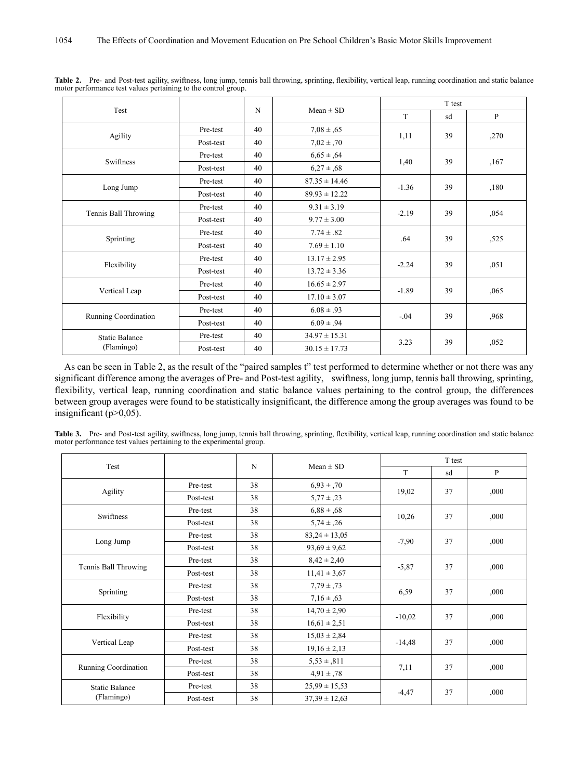| Test                  |           | N  | $Mean \pm SD$     | T test     |    |      |  |
|-----------------------|-----------|----|-------------------|------------|----|------|--|
|                       |           |    |                   | T          | sd | P    |  |
|                       | Pre-test  | 40 | $7,08 \pm 0.65$   | 1,11       | 39 |      |  |
| Agility               | Post-test | 40 | $7,02 \pm 0.70$   |            |    | ,270 |  |
| Swiftness             | Pre-test  | 40 | $6,65 \pm 0.64$   |            | 39 |      |  |
|                       | Post-test | 40 | $6,27 \pm 0.68$   | 1,40       |    | ,167 |  |
|                       | Pre-test  | 40 | $87.35 \pm 14.46$ |            |    |      |  |
| Long Jump             | Post-test | 40 | $89.93 \pm 12.22$ | $-1.36$    | 39 | ,180 |  |
|                       | Pre-test  | 40 | $9.31 \pm 3.19$   |            |    |      |  |
| Tennis Ball Throwing  | Post-test | 40 | $9.77 \pm 3.00$   | $-2.19$    | 39 | ,054 |  |
|                       | Pre-test  | 40 | $7.74 \pm .82$    |            | 39 | ,525 |  |
| Sprinting             | Post-test | 40 | $7.69 \pm 1.10$   | .64        |    |      |  |
|                       | Pre-test  | 40 | $13.17 \pm 2.95$  |            | 39 |      |  |
| Flexibility           | Post-test | 40 | $13.72 \pm 3.36$  | $-2.24$    |    | ,051 |  |
|                       | Pre-test  | 40 | $16.65 \pm 2.97$  |            |    |      |  |
| Vertical Leap         | Post-test | 40 | $17.10 \pm 3.07$  | $-1.89$    | 39 | ,065 |  |
|                       | Pre-test  | 40 | $6.08 \pm .93$    |            |    |      |  |
| Running Coordination  | Post-test | 40 | $6.09 \pm .94$    | $-.04$     | 39 | ,968 |  |
| <b>Static Balance</b> | Pre-test  | 40 | $34.97 \pm 15.31$ | 3.23<br>39 |    |      |  |
| (Flamingo)            | Post-test | 40 | $30.15 \pm 17.73$ |            |    | ,052 |  |

Table 2. Pre- and Post-test agility, swiftness, long jump, tennis ball throwing, sprinting, flexibility, vertical leap, running coordination and static balance motor performance test values pertaining to the control group.

As can be seen in Table 2, as the result of the "paired samples t" test performed to determine whether or not there was any significant difference among the averages of Pre- and Post-test agility, swiftness, long jump, tennis ball throwing, sprinting, flexibility, vertical leap, running coordination and static balance values pertaining to the control group, the differences between group averages were found to be statistically insignificant, the difference among the group averages was found to be insignificant ( $p>0,05$ ).

|  |  |                                                                     | Table 3. Pre- and Post-test agility, swiftness, long jump, tennis ball throwing, sprinting, flexibility, vertical leap, running coordination and static balance |  |  |  |  |
|--|--|---------------------------------------------------------------------|-----------------------------------------------------------------------------------------------------------------------------------------------------------------|--|--|--|--|
|  |  | motor performance test values pertaining to the experimental group. |                                                                                                                                                                 |  |  |  |  |

|                       |           |    | $Mean \pm SD$     | T test        |    |              |  |
|-----------------------|-----------|----|-------------------|---------------|----|--------------|--|
| Test                  |           | N  |                   |               | sd | $\mathbf{P}$ |  |
|                       | Pre-test  | 38 | $6,93 \pm 0.70$   | 19,02         | 37 | ,000         |  |
| Agility               | Post-test | 38 | $5,77 \pm 0.23$   |               |    |              |  |
| Swiftness             | Pre-test  | 38 | $6,88 \pm 0.68$   |               | 37 |              |  |
|                       | Post-test | 38 | $5,74 \pm 0.26$   | 10,26         |    | ,000         |  |
|                       | Pre-test  | 38 | $83,24 \pm 13,05$ |               | 37 |              |  |
| Long Jump             | Post-test | 38 | $93,69 \pm 9,62$  | $-7,90$       |    | ,000         |  |
|                       | Pre-test  | 38 | $8,42 \pm 2,40$   |               | 37 | ,000         |  |
| Tennis Ball Throwing  | Post-test | 38 | $11,41 \pm 3,67$  | $-5,87$       |    |              |  |
| Sprinting             | Pre-test  | 38 | $7,79 \pm 0.73$   |               | 37 | ,000         |  |
|                       | Post-test | 38 | $7,16 \pm 0.63$   | 6,59          |    |              |  |
| Flexibility           | Pre-test  | 38 | $14,70 \pm 2,90$  |               | 37 | ,000         |  |
|                       | Post-test | 38 | $16,61 \pm 2,51$  | $-10,02$      |    |              |  |
| Vertical Leap         | Pre-test  | 38 | $15,03 \pm 2,84$  |               | 37 |              |  |
|                       | Post-test | 38 | $19,16 \pm 2,13$  | $-14,48$      |    | ,000,        |  |
| Running Coordination  | Pre-test  | 38 | $5,53 \pm 0.811$  | 37            |    |              |  |
|                       | Post-test | 38 | $4.91 \pm .78$    | 7,11          |    | ,000         |  |
| <b>Static Balance</b> | Pre-test  | 38 | $25,99 \pm 15,53$ |               |    |              |  |
| (Flamingo)            | Post-test | 38 | $37,39 \pm 12,63$ | 37<br>$-4,47$ |    | ,000         |  |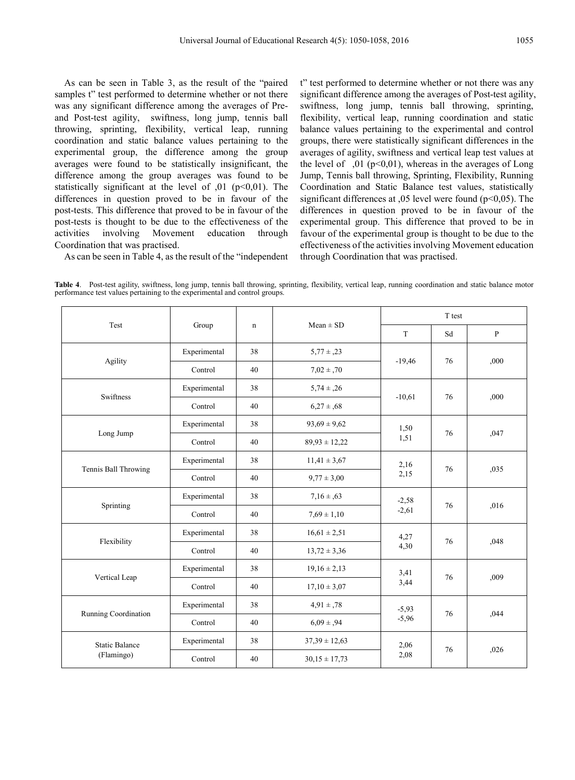As can be seen in Table 3, as the result of the "paired samples t" test performed to determine whether or not there was any significant difference among the averages of Preand Post-test agility, swiftness, long jump, tennis ball throwing, sprinting, flexibility, vertical leap, running coordination and static balance values pertaining to the experimental group, the difference among the group averages were found to be statistically insignificant, the difference among the group averages was found to be statistically significant at the level of  $,01$  ( $p<0,01$ ). The differences in question proved to be in favour of the post-tests. This difference that proved to be in favour of the post-tests is thought to be due to the effectiveness of the activities involving Movement education through Coordination that was practised.

t" test performed to determine whether or not there was any significant difference among the averages of Post-test agility, swiftness, long jump, tennis ball throwing, sprinting, flexibility, vertical leap, running coordination and static balance values pertaining to the experimental and control groups, there were statistically significant differences in the averages of agility, swiftness and vertical leap test values at the level of  $\,01$  (p<0,01), whereas in the averages of Long Jump, Tennis ball throwing, Sprinting, Flexibility, Running Coordination and Static Balance test values, statistically significant differences at ,05 level were found (p<0,05). The differences in question proved to be in favour of the experimental group. This difference that proved to be in favour of the experimental group is thought to be due to the effectiveness of the activities involving Movement education through Coordination that was practised.

As can be seen in Table 4, as the result of the "independent

|                       |              |             |                   | T test                   |    |              |  |
|-----------------------|--------------|-------------|-------------------|--------------------------|----|--------------|--|
| Test                  | Group        | $\mathbf n$ | $Mean \pm SD$     | T                        | Sd | $\, {\bf P}$ |  |
|                       | Experimental | 38          | $5,77 \pm 0.23$   |                          | 76 | ,000         |  |
| Agility               | Control      | 40          | $7.02 \pm .70$    | $-19,46$                 |    |              |  |
| Swiftness             | Experimental | 38          | $5,74 \pm 0.26$   |                          | 76 |              |  |
|                       | Control      | 40          | $6,27 \pm 0.68$   | $-10,61$                 |    | ,000         |  |
|                       | Experimental | 38          | $93,69 \pm 9,62$  | 1,50                     |    |              |  |
| Long Jump             | Control      | 40          | $89,93 \pm 12,22$ | 1,51                     | 76 | ,047         |  |
|                       | Experimental | 38          | $11,41 \pm 3,67$  | 2,16                     | 76 |              |  |
| Tennis Ball Throwing  | Control      | 40          | $9.77 \pm 3.00$   | 2,15                     |    | ,035         |  |
|                       | Experimental | 38          | $7,16 \pm 0.63$   | $-2,58$                  | 76 | ,016         |  |
| Sprinting             | Control      | 40          | $7,69 \pm 1,10$   | $-2,61$                  |    |              |  |
|                       | Experimental | 38          | $16,61 \pm 2,51$  | 4,27                     | 76 | ,048         |  |
| Flexibility           | Control      | 40          | $13,72 \pm 3,36$  | 4,30                     |    |              |  |
|                       | Experimental | 38          | $19,16 \pm 2,13$  | 3,41                     | 76 | ,009         |  |
| Vertical Leap         | Control      | 40          | $17,10 \pm 3,07$  | 3,44                     |    |              |  |
| Running Coordination  | Experimental | 38          | $4,91 \pm .78$    | $-5,93$<br>76<br>$-5,96$ |    |              |  |
|                       | Control      | 40          | $6.09 \pm .94$    |                          |    | .044         |  |
| <b>Static Balance</b> | Experimental | 38          | $37,39 \pm 12,63$ | 2,06<br>76<br>2,08       |    |              |  |
| (Flamingo)            | Control      | 40          | $30,15 \pm 17,73$ |                          |    | ,026         |  |

**Table 4**. Post-test agility, swiftness, long jump, tennis ball throwing, sprinting, flexibility, vertical leap, running coordination and static balance motor performance test values pertaining to the experimental and control groups.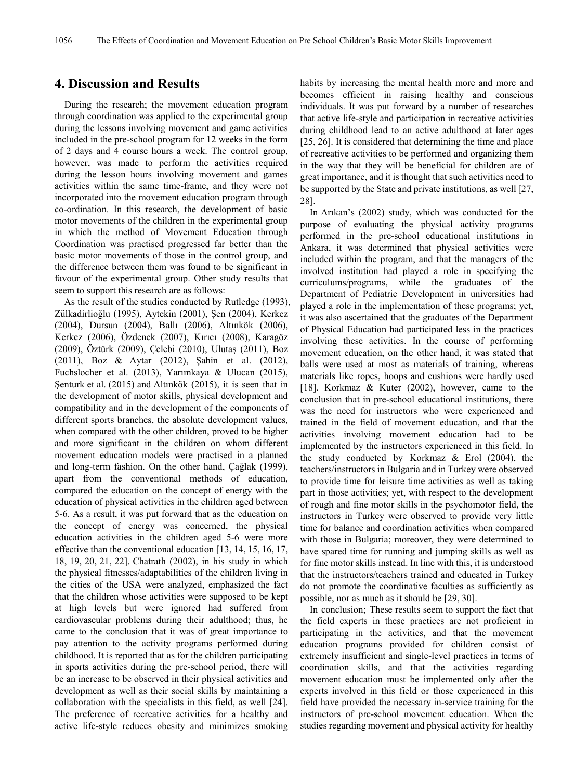## **4. Discussion and Results**

During the research; the movement education program through coordination was applied to the experimental group during the lessons involving movement and game activities included in the pre-school program for 12 weeks in the form of 2 days and 4 course hours a week. The control group, however, was made to perform the activities required during the lesson hours involving movement and games activities within the same time-frame, and they were not incorporated into the movement education program through co-ordination. In this research, the development of basic motor movements of the children in the experimental group in which the method of Movement Education through Coordination was practised progressed far better than the basic motor movements of those in the control group, and the difference between them was found to be significant in favour of the experimental group. Other study results that seem to support this research are as follows:

As the result of the studies conducted by Rutledge (1993), Zülkadirlioğlu (1995), Aytekin (2001), Şen (2004), Kerkez (2004), Dursun (2004), Ballı (2006), Altınkök (2006), Kerkez (2006), Özdenek (2007), Kırıcı (2008), Karagöz (2009), Öztürk (2009), Çelebi (2010), Ulutaş (2011), Boz (2011), Boz & Aytar (2012), Şahin et al. (2012), Fuchslocher et al. (2013), Yarımkaya & Ulucan (2015), Şenturk et al. (2015) and Altınkök (2015), it is seen that in the development of motor skills, physical development and compatibility and in the development of the components of different sports branches, the absolute development values, when compared with the other children, proved to be higher and more significant in the children on whom different movement education models were practised in a planned and long-term fashion. On the other hand, Çağlak (1999), apart from the conventional methods of education, compared the education on the concept of energy with the education of physical activities in the children aged between 5-6. As a result, it was put forward that as the education on the concept of energy was concerned, the physical education activities in the children aged 5-6 were more effective than the conventional education [13, 14, 15, 16, 17, 18, 19, 20, 21, 22]. Chatrath (2002), in his study in which the physical fitnesses/adaptabilities of the children living in the cities of the USA were analyzed, emphasized the fact that the children whose activities were supposed to be kept at high levels but were ignored had suffered from cardiovascular problems during their adulthood; thus, he came to the conclusion that it was of great importance to pay attention to the activity programs performed during childhood. It is reported that as for the children participating in sports activities during the pre-school period, there will be an increase to be observed in their physical activities and development as well as their social skills by maintaining a collaboration with the specialists in this field, as well [24]. The preference of recreative activities for a healthy and active life-style reduces obesity and minimizes smoking

habits by increasing the mental health more and more and becomes efficient in raising healthy and conscious individuals. It was put forward by a number of researches that active life-style and participation in recreative activities during childhood lead to an active adulthood at later ages [25, 26]. It is considered that determining the time and place of recreative activities to be performed and organizing them in the way that they will be beneficial for children are of great importance, and it is thought that such activities need to be supported by the State and private institutions, as well [27, 28].

In Arıkan's (2002) study, which was conducted for the purpose of evaluating the physical activity programs performed in the pre-school educational institutions in Ankara, it was determined that physical activities were included within the program, and that the managers of the involved institution had played a role in specifying the curriculums/programs, while the graduates of the Department of Pediatric Development in universities had played a role in the implementation of these programs; yet, it was also ascertained that the graduates of the Department of Physical Education had participated less in the practices involving these activities. In the course of performing movement education, on the other hand, it was stated that balls were used at most as materials of training, whereas materials like ropes, hoops and cushions were hardly used [18]. Korkmaz & Kuter (2002), however, came to the conclusion that in pre-school educational institutions, there was the need for instructors who were experienced and trained in the field of movement education, and that the activities involving movement education had to be implemented by the instructors experienced in this field. In the study conducted by Korkmaz & Erol (2004), the teachers/instructors in Bulgaria and in Turkey were observed to provide time for leisure time activities as well as taking part in those activities; yet, with respect to the development of rough and fine motor skills in the psychomotor field, the instructors in Turkey were observed to provide very little time for balance and coordination activities when compared with those in Bulgaria; moreover, they were determined to have spared time for running and jumping skills as well as for fine motor skills instead. In line with this, it is understood that the instructors/teachers trained and educated in Turkey do not promote the coordinative faculties as sufficiently as possible, nor as much as it should be [29, 30].

In conclusion; These results seem to support the fact that the field experts in these practices are not proficient in participating in the activities, and that the movement education programs provided for children consist of extremely insufficient and single-level practices in terms of coordination skills, and that the activities regarding movement education must be implemented only after the experts involved in this field or those experienced in this field have provided the necessary in-service training for the instructors of pre-school movement education. When the studies regarding movement and physical activity for healthy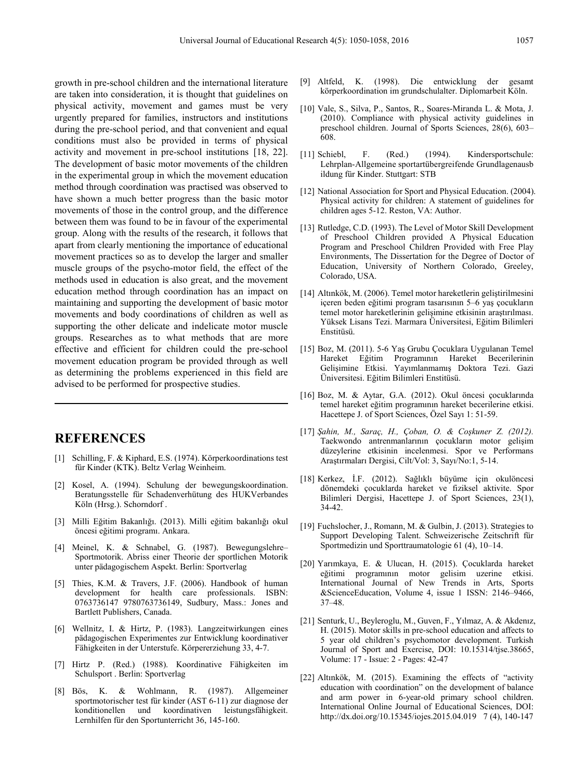growth in pre-school children and the international literature are taken into consideration, it is thought that guidelines on physical activity, movement and games must be very urgently prepared for families, instructors and institutions during the pre-school period, and that convenient and equal conditions must also be provided in terms of physical activity and movement in pre-school institutions [18, 22]. The development of basic motor movements of the children in the experimental group in which the movement education method through coordination was practised was observed to have shown a much better progress than the basic motor movements of those in the control group, and the difference between them was found to be in favour of the experimental group. Along with the results of the research, it follows that apart from clearly mentioning the importance of educational movement practices so as to develop the larger and smaller muscle groups of the psycho-motor field, the effect of the methods used in education is also great, and the movement education method through coordination has an impact on maintaining and supporting the development of basic motor movements and body coordinations of children as well as supporting the other delicate and indelicate motor muscle groups. Researches as to what methods that are more effective and efficient for children could the pre-school movement education program be provided through as well as determining the problems experienced in this field are advised to be performed for prospective studies.

## **REFERENCES**

- [1] Schilling, F. & Kiphard, E.S. (1974). Körperkoordinations test für Kinder (KTK). Beltz Verlag Weinheim.
- [2] Kosel, A. (1994). Schulung der bewegungskoordination. Beratungsstelle für Schadenverhütung des HUKVerbandes Köln (Hrsg.). Schorndorf .
- [3] Milli Eğitim Bakanlığı. (2013). Milli eğitim bakanlığı okul öncesi eğitimi programı. Ankara.
- [4] Meinel, K. & Schnabel, G. (1987). Bewegungslehre– Sportmotorik. Abriss einer Theorie der sportlichen Motorik unter pädagogischem Aspekt. Berlin: Sportverlag
- [5] Thies, K.M. & Travers, J.F. (2006). Handbook of human development for health care professionals. ISBN: 0763736147 9780763736149, Sudbury, Mass.: Jones and Bartlett Publishers, Canada.
- [6] Wellnitz, I. & Hirtz, P. (1983). Langzeitwirkungen eines pädagogischen Experimentes zur Entwicklung koordinativer Fähigkeiten in der Unterstufe. Körpererziehung 33, 4-7.
- [7] Hirtz P. (Red.) (1988). Koordinative Fähigkeiten im Schulsport . Berlin: Sportverlag
- [8] Bös, K. & Wohlmann, R. (1987). Allgemeiner sportmotorischer test für kinder (AST 6-11) zur diagnose der konditionellen und koordinativen leistungsfähigkeit. Lernhilfen für den Sportunterricht 36, 145-160.
- [9] Altfeld, K. (1998). Die entwicklung der gesamt körperkoordination im grundschulalter. Diplomarbeit Köln.
- [10] Vale, S., Silva, P., Santos, R., Soares-Miranda L. & Mota, J. (2010). Compliance with physical activity guidelines in preschool children. Journal of Sports Sciences, 28(6), 603– 608.
- [11] Schiebl, F. (Red.) (1994). Kindersportschule: Lehrplan-Allgemeine sportartübergreifende Grundlagenausb ildung für Kinder. Stuttgart: STB
- [12] National Association for Sport and Physical Education. (2004). Physical activity for children: A statement of guidelines for children ages 5-12. Reston, VA: Author.
- [13] Rutledge, C.D. (1993). The Level of Motor Skill Development of Preschool Children provided A Physical Education Program and Preschool Children Provided with Free Play Environments, The Dissertation for the Degree of Doctor of Education, University of Northern Colorado, Greeley, Colorado, USA.
- [14] Altınkök, M. (2006). Temel motor hareketlerin geliştirilmesini içeren beden eğitimi program tasarısının 5–6 yaş çocukların temel motor hareketlerinin gelişimine etkisinin araştırılması. Yüksek Lisans Tezi. Marmara Üniversitesi, Eğitim Bilimleri Enstitüsü.
- [15] Boz, M. (2011). 5-6 Yaş Grubu Çocuklara Uygulanan Temel Hareket Eğitim Programının Hareket Becerilerinin Gelişimine Etkisi. Yayımlanmamış Doktora Tezi. Gazi Üniversitesi. Eğitim Bilimleri Enstitüsü.
- [16] Boz, M. & Aytar, G.A. (2012). Okul öncesi çocuklarında temel hareket eğitim programının hareket becerilerine etkisi. Hacettepe J. of Sport Sciences, Özel Sayı 1: 51-59.
- [17] *Şahin, M., Saraç, H., Çoban, O. & Coşkuner Z. (2012).*  Taekwondo antrenmanlarının çocukların motor gelişim düzeylerine etkisinin incelenmesi. Spor ve Performans Araştırmaları Dergisi, Cilt/Vol: 3, Sayı/No:1, 5-14.
- [18] Kerkez, İ.F. (2012). Sağlıklı büyüme için okulöncesi dönemdeki çocuklarda hareket ve fiziksel aktivite. Spor Bilimleri Dergisi, Hacettepe J. of Sport Sciences, 23(1), 34-42.
- [19] Fuchslocher, J., Romann, M. & Gulbin, J. (2013). Strategies to Support Developing Talent. Schweizerische Zeitschrift für Sportmedizin und Sporttraumatologie 61 (4), 10–14.
- [20] Yarımkaya, E. & Ulucan, H. (2015). Çocuklarda hareket eğitimi programının motor gelisim uzerine etkisi. International Journal of New Trends in Arts, Sports &ScienceEducation, Volume 4, issue 1 ISSN: 2146–9466, 37–48.
- [21] Senturk, U., Beyleroglu, M., Guven, F., Yılmaz, A. & Akdenız, H. (2015). Motor skills in pre-school education and affects to 5 year old children's psychomotor development. Turkish Journal of Sport and Exercise, DOI: 10.15314/tjse.38665, Volume: 17 - Issue: 2 - Pages: 42-47
- [22] Altınkök, M. (2015). Examining the effects of "activity education with coordination" on the development of balance and arm power in 6-year-old primary school children. International Online Journal of Educational Sciences, DOI: http://dx.doi.org/10.15345/iojes.2015.04.019 7 (4), 140-147